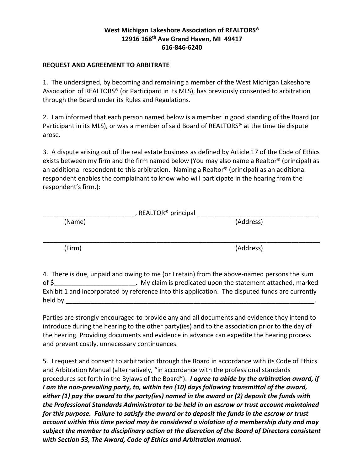## **West Michigan Lakeshore Association of REALTORS® 12916 168th Ave Grand Haven, MI 49417 616-846-6240**

## **REQUEST AND AGREEMENT TO ARBITRATE**

1. The undersigned, by becoming and remaining a member of the West Michigan Lakeshore Association of REALTORS® (or Participant in its MLS), has previously consented to arbitration through the Board under its Rules and Regulations.

2. I am informed that each person named below is a member in good standing of the Board (or Participant in its MLS), or was a member of said Board of REALTORS® at the time tie dispute arose.

3. A dispute arising out of the real estate business as defined by Article 17 of the Code of Ethics exists between my firm and the firm named below (You may also name a Realtor® (principal) as an additional respondent to this arbitration. Naming a Realtor® (principal) as an additional respondent enables the complainant to know who will participate in the hearing from the respondent's firm.):

| , REALTOR <sup>®</sup> principal |           |  |
|----------------------------------|-----------|--|
| (Name)                           | (Address) |  |
|                                  |           |  |
|                                  |           |  |
| (Firm)                           | (Address) |  |

4. There is due, unpaid and owing to me (or I retain) from the above-named persons the sum of \$\_\_\_\_\_\_\_\_\_\_\_\_\_\_\_\_\_\_\_\_\_\_\_. My claim is predicated upon the statement attached, marked Exhibit 1 and incorporated by reference into this application. The disputed funds are currently held by \_\_\_\_\_\_\_\_\_\_\_\_\_\_\_\_\_\_\_\_\_\_\_\_\_\_\_\_\_\_\_\_\_\_\_\_\_\_\_\_\_\_\_\_\_\_\_\_\_\_\_\_\_\_\_\_\_\_\_\_\_\_\_\_\_\_\_\_\_\_.

Parties are strongly encouraged to provide any and all documents and evidence they intend to introduce during the hearing to the other party(ies) and to the association prior to the day of the hearing. Providing documents and evidence in advance can expedite the hearing process and prevent costly, unnecessary continuances.

5. I request and consent to arbitration through the Board in accordance with its Code of Ethics and Arbitration Manual (alternatively, "in accordance with the professional standards procedures set forth in the Bylaws of the Board"). *I agree to abide by the arbitration award, if I am the non-prevailing party, to, within ten (10) days following transmittal of the award, either (1) pay the award to the party(ies) named in the award or (2) deposit the funds with the Professional Standards Administrator to be held in an escrow or trust account maintained for this purpose. Failure to satisfy the award or to deposit the funds in the escrow or trust account within this time period may be considered a violation of a membership duty and may subject the member to disciplinary action at the discretion of the Board of Directors consistent with Section 53, The Award, Code of Ethics and Arbitration manual.*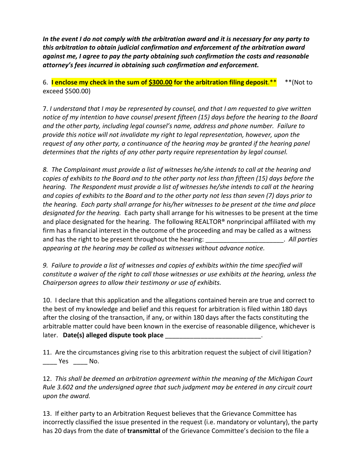*In the event I do not comply with the arbitration award and it is necessary for any party to this arbitration to obtain judicial confirmation and enforcement of the arbitration award against me, I agree to pay the party obtaining such confirmation the costs and reasonable attorney's fees incurred in obtaining such confirmation and enforcement.*

6. **I enclose my check in the sum of \$300.00 for the arbitration filing deposit**.\*\* \*\*(Not to exceed \$500.00)

7. *I understand that I may be represented by counsel, and that I am requested to give written notice of my intention to have counsel present fifteen (15) days before the hearing to the Board and the other party, including legal counsel's name, address and phone number. Failure to provide this notice will not invalidate my right to legal representation, however, upon the request of any other party, a continuance of the hearing may be granted if the hearing panel determines that the rights of any other party require representation by legal counsel.*

*8. The Complainant must provide a list of witnesses he/she intends to call at the hearing and copies of exhibits to the Board and to the other party not less than fifteen (15) days before the hearing. The Respondent must provide a list of witnesses he/she intends to call at the hearing and copies of exhibits to the Board and to the other party not less than seven (7) days prior to the hearing. Each party shall arrange for his/her witnesses to be present at the time and place designated for the hearing.* Each party shall arrange for his witnesses to be present at the time and place designated for the hearing. The following REALTOR® nonprincipal affiliated with my firm has a financial interest in the outcome of the proceeding and may be called as a witness and has the right to be present throughout the hearing: and has the right to be present throughout the hearing: *appearing at the hearing may be called as witnesses without advance notice.*

*9. Failure to provide a list of witnesses and copies of exhibits within the time specified will constitute a waiver of the right to call those witnesses or use exhibits at the hearing, unless the Chairperson agrees to allow their testimony or use of exhibits.*

10. I declare that this application and the allegations contained herein are true and correct to the best of my knowledge and belief and this request for arbitration is filed within 180 days after the closing of the transaction, if any, or within 180 days after the facts constituting the arbitrable matter could have been known in the exercise of reasonable diligence, whichever is later. **Date(s) alleged dispute took place** 

11. Are the circumstances giving rise to this arbitration request the subject of civil litigation?  $\frac{1}{\sqrt{2}}$  Yes  $\frac{1}{\sqrt{2}}$  No.

12. *This shall be deemed an arbitration agreement within the meaning of the Michigan Court Rule 3.602 and the undersigned agree that such judgment may be entered in any circuit court upon the award.*

13. If either party to an Arbitration Request believes that the Grievance Committee has incorrectly classified the issue presented in the request (i.e. mandatory or voluntary), the party has 20 days from the date of **transmittal** of the Grievance Committee's decision to the file a